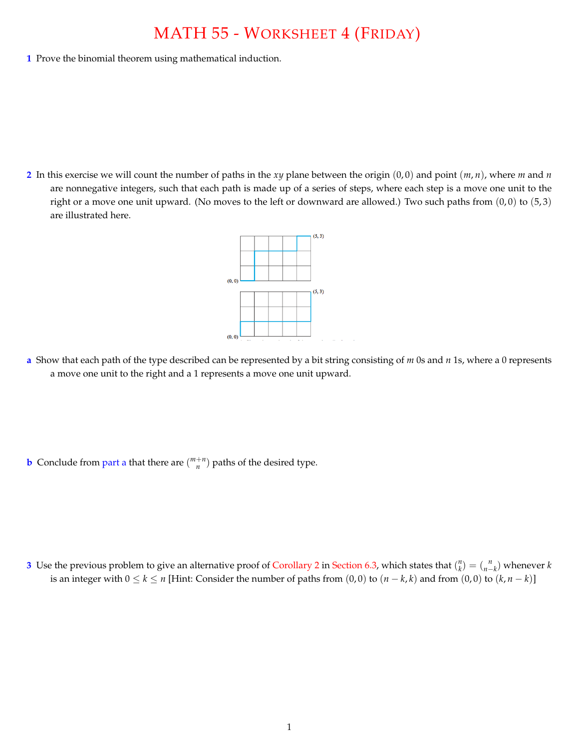## MATH 55 - WORKSHEET 4 (FRIDAY)

**1** Prove the binomial theorem using mathematical induction.

**2** In this exercise we will count the number of paths in the *xy* plane between the origin (0, 0) and point (*m*, *n*), where *m* and *n* are nonnegative integers, such that each path is made up of a series of steps, where each step is a move one unit to the right or a move one unit upward. (No moves to the left or downward are allowed.) Two such paths from  $(0,0)$  to  $(5,3)$ are illustrated here.



**a** Show that each path of the type described can be represented by a bit string consisting of *m* 0s and *n* 1s, where a 0 represents a move one unit to the right and a 1 represents a move one unit upward.

**b** Conclude from part a that there are  $\binom{m+n}{n}$  paths of the desired type.

**3** Use the previous problem to give an alternative proof of Corollary 2 in Section 6.3, which states that  $\binom{n}{k} = \binom{n}{n-k}$  whenever *k* is an integer with  $0 \le k \le n$  [Hint: Consider the number of paths from  $(0,0)$  to  $(n-k,k)$  and from  $(0,0)$  to  $(k, n-k)$ ]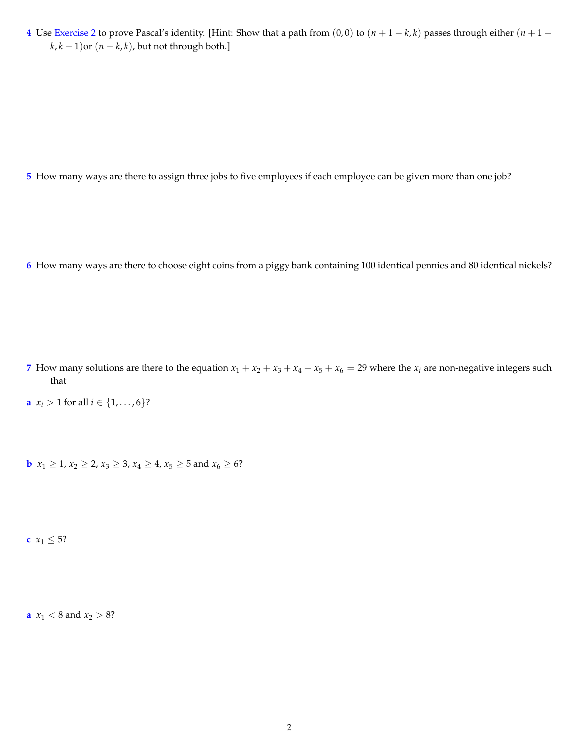**4** Use Exercise 2 to prove Pascal's identity. [Hint: Show that a path from  $(0,0)$  to  $(n+1-k,k)$  passes through either  $(n+1-k)$  $k, k - 1$ ) or  $(n - k, k)$ , but not through both.]

**5** How many ways are there to assign three jobs to five employees if each employee can be given more than one job?

**6** How many ways are there to choose eight coins from a piggy bank containing 100 identical pennies and 80 identical nickels?

- **7** How many solutions are there to the equation  $x_1 + x_2 + x_3 + x_4 + x_5 + x_6 = 29$  where the  $x_i$  are non-negative integers such that
- **a**  $x_i > 1$  for all  $i \in \{1, ..., 6\}$ ?

**b**  $x_1 \geq 1, x_2 \geq 2, x_3 \geq 3, x_4 \geq 4, x_5 \geq 5 \text{ and } x_6 \geq 6$ ?

**c**  $x_1 \leq 5$ ?

**a**  $x_1 < 8$  and  $x_2 > 8$ ?